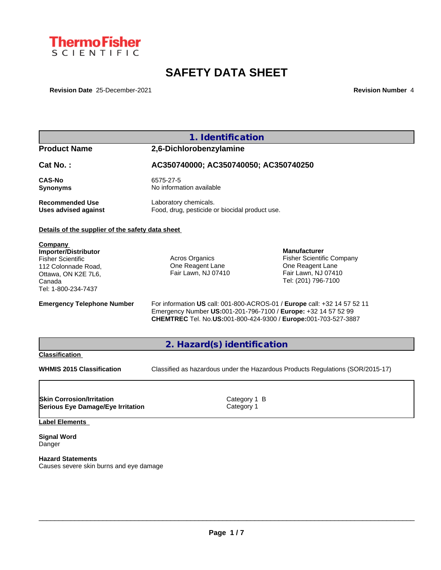

# **SAFETY DATA SHEET**

**Revision Date** 25-December-2021 **Revision Number** 4

# **1. Identification Product Name 2,6-Dichlorobenzylamine Cat No. : AC350740000; AC350740050; AC350740250 CAS-No** 6575-27-5 **Synonyms** No information available **Recommended Use** Laboratory chemicals.<br> **Uses advised against** Food, drug, pesticide of Food, drug, pesticide or biocidal product use. **Details of the supplier of the safety data sheet Emergency Telephone Number** For information **US** call: 001-800-ACROS-01 / **Europe** call: +32 14 57 52 11 Emergency Number **US:**001-201-796-7100 / **Europe:** +32 14 57 52 99 **CHEMTREC** Tel. No.**US:**001-800-424-9300 / **Europe:**001-703-527-3887 **2. Hazard(s) identification Classification WHMIS 2015 Classification** Classified as hazardous under the Hazardous Products Regulations (SOR/2015-17) **Label Elements Signal Word** Danger **Company Importer/Distributor** Fisher Scientific 112 Colonnade Road, Ottawa, ON K2E 7L6, Canada Tel: 1-800-234-7437 Acros Organics One Reagent Lane Fair Lawn, NJ 07410 **Manufacturer** Fisher Scientific Company One Reagent Lane Fair Lawn, NJ 07410 Tel: (201) 796-7100 **Skin Corrosion/Irritation** Category 1 B **Serious Eye Damage/Eye Irritation** Category 1

**Hazard Statements** Causes severe skin burns and eye damage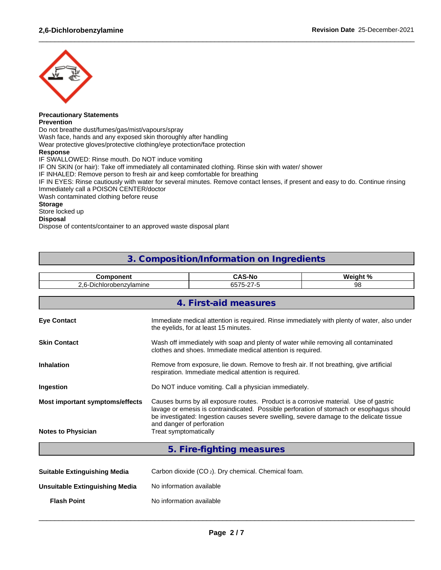

#### **Precautionary Statements Prevention**

Do not breathe dust/fumes/gas/mist/vapours/spray

Wash face, hands and any exposed skin thoroughly after handling

Wear protective gloves/protective clothing/eye protection/face protection

### **Response**

IF SWALLOWED: Rinse mouth. Do NOT induce vomiting

IF ON SKIN (or hair): Take off immediately all contaminated clothing. Rinse skin with water/ shower

IF INHALED: Remove person to fresh air and keep comfortable for breathing

IF IN EYES: Rinse cautiously with water for several minutes. Remove contact lenses, if present and easy to do. Continue rinsing Immediately call a POISON CENTER/doctor

 $\_$  ,  $\_$  ,  $\_$  ,  $\_$  ,  $\_$  ,  $\_$  ,  $\_$  ,  $\_$  ,  $\_$  ,  $\_$  ,  $\_$  ,  $\_$  ,  $\_$  ,  $\_$  ,  $\_$  ,  $\_$  ,  $\_$  ,  $\_$  ,  $\_$  ,  $\_$  ,  $\_$  ,  $\_$  ,  $\_$  ,  $\_$  ,  $\_$  ,  $\_$  ,  $\_$  ,  $\_$  ,  $\_$  ,  $\_$  ,  $\_$  ,  $\_$  ,  $\_$  ,  $\_$  ,  $\_$  ,  $\_$  ,  $\_$  ,

Wash contaminated clothing before reuse

### **Storage**

Store locked up

## **Disposal**

Dispose of contents/container to an approved waste disposal plant

# **3. Composition/Information on Ingredients**

| <b>Component</b>                                                                                                                                                                                                                                                                                                                            |                       | <b>CAS-No</b>                                                                                                                                     | Weight % |  |  |  |  |  |  |
|---------------------------------------------------------------------------------------------------------------------------------------------------------------------------------------------------------------------------------------------------------------------------------------------------------------------------------------------|-----------------------|---------------------------------------------------------------------------------------------------------------------------------------------------|----------|--|--|--|--|--|--|
| 2,6-Dichlorobenzylamine                                                                                                                                                                                                                                                                                                                     |                       | 6575-27-5                                                                                                                                         | 98       |  |  |  |  |  |  |
|                                                                                                                                                                                                                                                                                                                                             |                       |                                                                                                                                                   |          |  |  |  |  |  |  |
|                                                                                                                                                                                                                                                                                                                                             |                       | 4. First-aid measures                                                                                                                             |          |  |  |  |  |  |  |
| <b>Eye Contact</b>                                                                                                                                                                                                                                                                                                                          |                       | Immediate medical attention is required. Rinse immediately with plenty of water, also under<br>the eyelids, for at least 15 minutes.              |          |  |  |  |  |  |  |
| <b>Skin Contact</b>                                                                                                                                                                                                                                                                                                                         |                       | Wash off immediately with soap and plenty of water while removing all contaminated<br>clothes and shoes. Immediate medical attention is required. |          |  |  |  |  |  |  |
| <b>Inhalation</b>                                                                                                                                                                                                                                                                                                                           |                       | Remove from exposure, lie down. Remove to fresh air. If not breathing, give artificial<br>respiration. Immediate medical attention is required.   |          |  |  |  |  |  |  |
| Ingestion                                                                                                                                                                                                                                                                                                                                   |                       | Do NOT induce vomiting. Call a physician immediately.                                                                                             |          |  |  |  |  |  |  |
| Causes burns by all exposure routes. Product is a corrosive material. Use of gastric<br>Most important symptoms/effects<br>lavage or emesis is contraindicated. Possible perforation of stomach or esophagus should<br>be investigated: Ingestion causes severe swelling, severe damage to the delicate tissue<br>and danger of perforation |                       |                                                                                                                                                   |          |  |  |  |  |  |  |
| <b>Notes to Physician</b>                                                                                                                                                                                                                                                                                                                   | Treat symptomatically |                                                                                                                                                   |          |  |  |  |  |  |  |
|                                                                                                                                                                                                                                                                                                                                             |                       | 5. Fire-fighting measures                                                                                                                         |          |  |  |  |  |  |  |

| Suitable Extinquishing Media   | Carbon dioxide $(CO_2)$ . Dry chemical. Chemical foam. |
|--------------------------------|--------------------------------------------------------|
| Unsuitable Extinguishing Media | No information available                               |

**Flash Point** No information available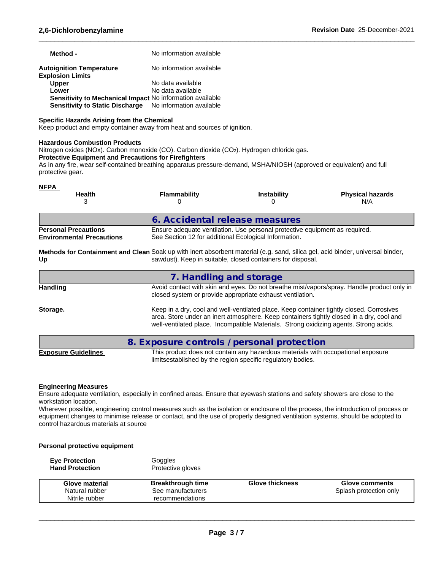| Method -                                                         | No information available |
|------------------------------------------------------------------|--------------------------|
| <b>Autoignition Temperature</b><br><b>Explosion Limits</b>       | No information available |
| <b>Upper</b>                                                     | No data available        |
| Lower                                                            | No data available        |
| <b>Sensitivity to Mechanical Impact No information available</b> |                          |
| Sensitivity to Static Discharge No information available         |                          |

## **Specific Hazards Arising from the Chemical**

Keep product and empty container away from heat and sources of ignition.

#### **Hazardous Combustion Products**

Nitrogen oxides (NOx). Carbon monoxide (CO). Carbon dioxide (CO2). Hydrogen chloride gas.

#### **Protective Equipment and Precautions for Firefighters**

As in any fire, wear self-contained breathing apparatus pressure-demand, MSHA/NIOSH (approved or equivalent) and full protective gear.

| <b>NFPA</b><br><b>Health</b>                                                                                                         | <b>Flammability</b>                                   | <b>Instability</b>                                                          | <b>Physical hazards</b><br>N/A                                                             |
|--------------------------------------------------------------------------------------------------------------------------------------|-------------------------------------------------------|-----------------------------------------------------------------------------|--------------------------------------------------------------------------------------------|
|                                                                                                                                      | 6. Accidental release measures                        |                                                                             |                                                                                            |
| <b>Personal Precautions</b><br><b>Environmental Precautions</b>                                                                      | See Section 12 for additional Ecological Information. | Ensure adequate ventilation. Use personal protective equipment as required. |                                                                                            |
| Methods for Containment and Clean Soak up with inert absorbent material (e.g. sand, silica gel, acid binder, universal binder,<br>Up |                                                       | sawdust). Keep in suitable, closed containers for disposal.                 |                                                                                            |
|                                                                                                                                      | 7. Handling and storage                               |                                                                             |                                                                                            |
| <b>Handling</b>                                                                                                                      |                                                       | closed system or provide appropriate exhaust ventilation.                   | Avoid contact with skin and eyes. Do not breathe mist/vapors/spray. Handle product only in |
| $\sim$ $\sim$                                                                                                                        |                                                       |                                                                             |                                                                                            |

**Storage.** Keep in a dry, cool and well-ventilated place. Keep container tightly closed. Corrosives area. Store under an inert atmosphere. Keep containers tightly closed in a dry, cool and well-ventilated place. Incompatible Materials. Strong oxidizing agents. Strong acids.

 $\_$  ,  $\_$  ,  $\_$  ,  $\_$  ,  $\_$  ,  $\_$  ,  $\_$  ,  $\_$  ,  $\_$  ,  $\_$  ,  $\_$  ,  $\_$  ,  $\_$  ,  $\_$  ,  $\_$  ,  $\_$  ,  $\_$  ,  $\_$  ,  $\_$  ,  $\_$  ,  $\_$  ,  $\_$  ,  $\_$  ,  $\_$  ,  $\_$  ,  $\_$  ,  $\_$  ,  $\_$  ,  $\_$  ,  $\_$  ,  $\_$  ,  $\_$  ,  $\_$  ,  $\_$  ,  $\_$  ,  $\_$  ,  $\_$  ,

|                            | 8. Exposure controls / personal protection                                       |
|----------------------------|----------------------------------------------------------------------------------|
| <b>Exposure Guidelines</b> | This product does not contain any hazardous materials with occupational exposure |
|                            | limitsestablished by the region specific regulatory bodies.                      |

### **Engineering Measures**

Ensure adequate ventilation, especially in confined areas. Ensure that eyewash stations and safety showers are close to the workstation location.

Wherever possible, engineering control measures such as the isolation or enclosure of the process, the introduction of process or equipment changes to minimise release or contact, and the use of properly designed ventilation systems, should be adopted to control hazardous materials at source

### **Personal protective equipment**

| <b>Eve Protection</b><br><b>Hand Protection</b> | Goggles<br>Protective gloves |                        |                        |
|-------------------------------------------------|------------------------------|------------------------|------------------------|
| Glove material                                  | <b>Breakthrough time</b>     | <b>Glove thickness</b> | Glove comments         |
| Natural rubber                                  | See manufacturers            |                        | Splash protection only |
| Nitrile rubber                                  | recommendations              |                        |                        |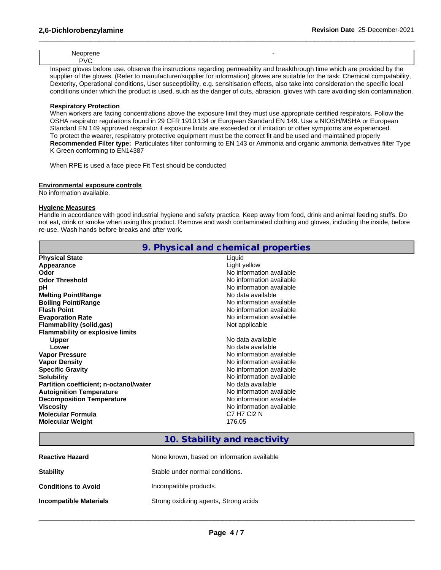Neoprene PVC

Inspect gloves before use. observe the instructions regarding permeability and breakthrough time which are provided by the supplier of the gloves. (Refer to manufacturer/supplier for information) gloves are suitable for the task: Chemical compatability, Dexterity, Operational conditions, User susceptibility, e.g. sensitisation effects, also take into consideration the specific local conditions under which the product is used, such as the danger of cuts, abrasion. gloves with care avoiding skin contamination.

 $\_$  ,  $\_$  ,  $\_$  ,  $\_$  ,  $\_$  ,  $\_$  ,  $\_$  ,  $\_$  ,  $\_$  ,  $\_$  ,  $\_$  ,  $\_$  ,  $\_$  ,  $\_$  ,  $\_$  ,  $\_$  ,  $\_$  ,  $\_$  ,  $\_$  ,  $\_$  ,  $\_$  ,  $\_$  ,  $\_$  ,  $\_$  ,  $\_$  ,  $\_$  ,  $\_$  ,  $\_$  ,  $\_$  ,  $\_$  ,  $\_$  ,  $\_$  ,  $\_$  ,  $\_$  ,  $\_$  ,  $\_$  ,  $\_$  ,

**-** Construction

## **Respiratory Protection**

When workers are facing concentrations above the exposure limit they must use appropriate certified respirators. Follow the OSHA respirator regulations found in 29 CFR 1910.134 or European Standard EN 149. Use a NIOSH/MSHA or European Standard EN 149 approved respirator if exposure limits are exceeded or if irritation or other symptoms are experienced. To protect the wearer, respiratory protective equipment must be the correct fit and be used and maintained properly **Recommended Filter type:** Particulates filter conforming to EN 143 or Ammonia and organic ammonia derivatives filter Type K Green conforming to EN14387

When RPE is used a face piece Fit Test should be conducted

# **Environmental exposure controls**

No information available.

# **Hygiene Measures**

Handle in accordance with good industrial hygiene and safety practice. Keep away from food, drink and animal feeding stuffs. Do not eat, drink or smoke when using this product. Remove and wash contaminated clothing and gloves, including the inside, before re-use. Wash hands before breaks and after work.

|                                         | 9. Physical and chemical properties |
|-----------------------------------------|-------------------------------------|
| <b>Physical State</b>                   | Liquid                              |
| Appearance                              | Light yellow                        |
| Odor                                    | No information available            |
| <b>Odor Threshold</b>                   | No information available            |
| рH                                      | No information available            |
| <b>Melting Point/Range</b>              | No data available                   |
| <b>Boiling Point/Range</b>              | No information available            |
| <b>Flash Point</b>                      | No information available            |
| <b>Evaporation Rate</b>                 | No information available            |
| Flammability (solid,gas)                | Not applicable                      |
| <b>Flammability or explosive limits</b> |                                     |
| <b>Upper</b>                            | No data available                   |
| Lower                                   | No data available                   |
| <b>Vapor Pressure</b>                   | No information available            |
| <b>Vapor Density</b>                    | No information available            |
| <b>Specific Gravity</b>                 | No information available            |
| <b>Solubility</b>                       | No information available            |
| Partition coefficient; n-octanol/water  | No data available                   |
| <b>Autoignition Temperature</b>         | No information available            |
| <b>Decomposition Temperature</b>        | No information available            |
| <b>Viscosity</b>                        | No information available            |
| <b>Molecular Formula</b>                | C7 H7 CI2 N                         |
| <b>Molecular Weight</b>                 | 176.05                              |
|                                         |                                     |

# **10. Stability and reactivity**

| <b>Reactive Hazard</b>        | None known, based on information available |
|-------------------------------|--------------------------------------------|
| <b>Stability</b>              | Stable under normal conditions.            |
| <b>Conditions to Avoid</b>    | Incompatible products.                     |
| <b>Incompatible Materials</b> | Strong oxidizing agents, Strong acids      |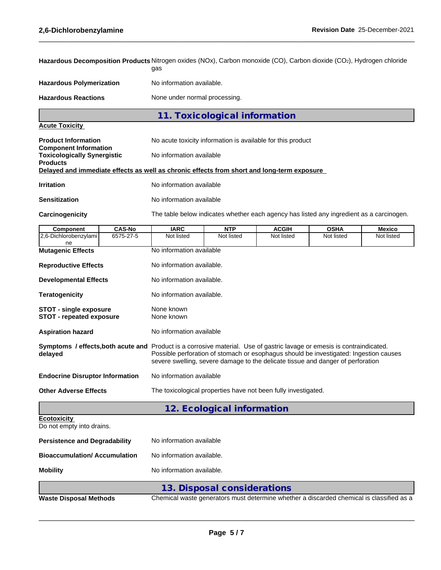| Hazardous Decomposition Products Nitrogen oxides (NOx), Carbon monoxide (CO), Carbon dioxide (CO2), Hydrogen chloride |               | gas                                                                                                                                                                                                                                                                                                 |                                                                                          |              |             |            |  |  |  |  |
|-----------------------------------------------------------------------------------------------------------------------|---------------|-----------------------------------------------------------------------------------------------------------------------------------------------------------------------------------------------------------------------------------------------------------------------------------------------------|------------------------------------------------------------------------------------------|--------------|-------------|------------|--|--|--|--|
| <b>Hazardous Polymerization</b>                                                                                       |               | No information available.                                                                                                                                                                                                                                                                           |                                                                                          |              |             |            |  |  |  |  |
| <b>Hazardous Reactions</b>                                                                                            |               | None under normal processing.                                                                                                                                                                                                                                                                       |                                                                                          |              |             |            |  |  |  |  |
|                                                                                                                       |               |                                                                                                                                                                                                                                                                                                     | 11. Toxicological information                                                            |              |             |            |  |  |  |  |
| <b>Acute Toxicity</b>                                                                                                 |               |                                                                                                                                                                                                                                                                                                     |                                                                                          |              |             |            |  |  |  |  |
| <b>Product Information</b><br><b>Component Information</b>                                                            |               |                                                                                                                                                                                                                                                                                                     | No acute toxicity information is available for this product                              |              |             |            |  |  |  |  |
| <b>Toxicologically Synergistic</b><br><b>Products</b>                                                                 |               | No information available                                                                                                                                                                                                                                                                            |                                                                                          |              |             |            |  |  |  |  |
| Delayed and immediate effects as well as chronic effects from short and long-term exposure                            |               |                                                                                                                                                                                                                                                                                                     |                                                                                          |              |             |            |  |  |  |  |
| <b>Irritation</b>                                                                                                     |               | No information available                                                                                                                                                                                                                                                                            |                                                                                          |              |             |            |  |  |  |  |
| <b>Sensitization</b>                                                                                                  |               | No information available                                                                                                                                                                                                                                                                            |                                                                                          |              |             |            |  |  |  |  |
| Carcinogenicity                                                                                                       |               |                                                                                                                                                                                                                                                                                                     | The table below indicates whether each agency has listed any ingredient as a carcinogen. |              |             |            |  |  |  |  |
| Component                                                                                                             | <b>CAS-No</b> | <b>IARC</b>                                                                                                                                                                                                                                                                                         | <b>NTP</b>                                                                               | <b>ACGIH</b> | <b>OSHA</b> | Mexico     |  |  |  |  |
| 2,6-Dichlorobenzylami<br>ne                                                                                           | 6575-27-5     | Not listed                                                                                                                                                                                                                                                                                          | Not listed                                                                               | Not listed   | Not listed  | Not listed |  |  |  |  |
| <b>Mutagenic Effects</b>                                                                                              |               | No information available                                                                                                                                                                                                                                                                            |                                                                                          |              |             |            |  |  |  |  |
| <b>Reproductive Effects</b>                                                                                           |               | No information available.                                                                                                                                                                                                                                                                           |                                                                                          |              |             |            |  |  |  |  |
| <b>Developmental Effects</b>                                                                                          |               |                                                                                                                                                                                                                                                                                                     | No information available.                                                                |              |             |            |  |  |  |  |
| <b>Teratogenicity</b>                                                                                                 |               |                                                                                                                                                                                                                                                                                                     | No information available.                                                                |              |             |            |  |  |  |  |
| <b>STOT - single exposure</b><br><b>STOT - repeated exposure</b>                                                      |               | None known<br>None known                                                                                                                                                                                                                                                                            |                                                                                          |              |             |            |  |  |  |  |
| <b>Aspiration hazard</b>                                                                                              |               |                                                                                                                                                                                                                                                                                                     | No information available                                                                 |              |             |            |  |  |  |  |
| delayed                                                                                                               |               | Symptoms / effects, both acute and Product is a corrosive material. Use of gastric lavage or emesis is contraindicated.<br>Possible perforation of stomach or esophagus should be investigated: Ingestion causes<br>severe swelling, severe damage to the delicate tissue and danger of perforation |                                                                                          |              |             |            |  |  |  |  |
| <b>Endocrine Disruptor Information</b>                                                                                |               |                                                                                                                                                                                                                                                                                                     | No information available                                                                 |              |             |            |  |  |  |  |
| <b>Other Adverse Effects</b>                                                                                          |               |                                                                                                                                                                                                                                                                                                     | The toxicological properties have not been fully investigated.                           |              |             |            |  |  |  |  |
|                                                                                                                       |               |                                                                                                                                                                                                                                                                                                     | 12. Ecological information                                                               |              |             |            |  |  |  |  |
| Ecotoxicity<br>Do not empty into drains.                                                                              |               |                                                                                                                                                                                                                                                                                                     |                                                                                          |              |             |            |  |  |  |  |
| <b>Persistence and Degradability</b>                                                                                  |               | No information available                                                                                                                                                                                                                                                                            |                                                                                          |              |             |            |  |  |  |  |
| <b>Bioaccumulation/ Accumulation</b>                                                                                  |               | No information available.                                                                                                                                                                                                                                                                           |                                                                                          |              |             |            |  |  |  |  |
| <b>Mobility</b>                                                                                                       |               | No information available.                                                                                                                                                                                                                                                                           |                                                                                          |              |             |            |  |  |  |  |
|                                                                                                                       |               |                                                                                                                                                                                                                                                                                                     | 13. Disposal considerations                                                              |              |             |            |  |  |  |  |
| <b>Waste Disposal Methods</b>                                                                                         |               |                                                                                                                                                                                                                                                                                                     | Chemical waste generators must determine whether a discarded chemical is classified as a |              |             |            |  |  |  |  |

 $\_$  ,  $\_$  ,  $\_$  ,  $\_$  ,  $\_$  ,  $\_$  ,  $\_$  ,  $\_$  ,  $\_$  ,  $\_$  ,  $\_$  ,  $\_$  ,  $\_$  ,  $\_$  ,  $\_$  ,  $\_$  ,  $\_$  ,  $\_$  ,  $\_$  ,  $\_$  ,  $\_$  ,  $\_$  ,  $\_$  ,  $\_$  ,  $\_$  ,  $\_$  ,  $\_$  ,  $\_$  ,  $\_$  ,  $\_$  ,  $\_$  ,  $\_$  ,  $\_$  ,  $\_$  ,  $\_$  ,  $\_$  ,  $\_$  ,

**Page 5 / 7**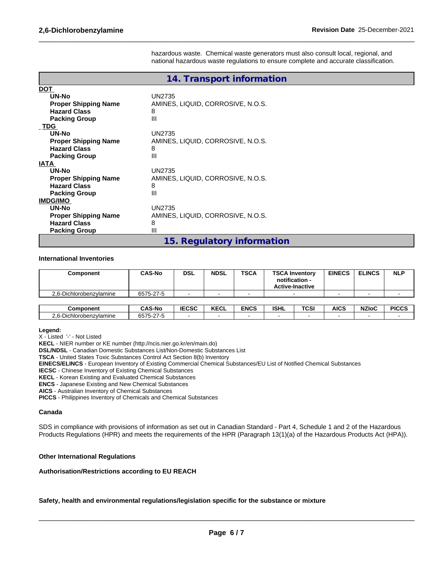hazardous waste. Chemical waste generators must also consult local, regional, and national hazardous waste regulations to ensure complete and accurate classification.

 $\_$  ,  $\_$  ,  $\_$  ,  $\_$  ,  $\_$  ,  $\_$  ,  $\_$  ,  $\_$  ,  $\_$  ,  $\_$  ,  $\_$  ,  $\_$  ,  $\_$  ,  $\_$  ,  $\_$  ,  $\_$  ,  $\_$  ,  $\_$  ,  $\_$  ,  $\_$  ,  $\_$  ,  $\_$  ,  $\_$  ,  $\_$  ,  $\_$  ,  $\_$  ,  $\_$  ,  $\_$  ,  $\_$  ,  $\_$  ,  $\_$  ,  $\_$  ,  $\_$  ,  $\_$  ,  $\_$  ,  $\_$  ,  $\_$  ,

|                                                                                                                 | 14. Transport information                                    |
|-----------------------------------------------------------------------------------------------------------------|--------------------------------------------------------------|
| <b>DOT</b><br>UN-No<br><b>Proper Shipping Name</b><br><b>Hazard Class</b><br><b>Packing Group</b><br><b>TDG</b> | <b>UN2735</b><br>AMINES, LIQUID, CORROSIVE, N.O.S.<br>8<br>Ш |
| UN-No<br><b>Proper Shipping Name</b><br><b>Hazard Class</b><br><b>Packing Group</b><br><b>IATA</b>              | UN2735<br>AMINES, LIQUID, CORROSIVE, N.O.S.<br>8<br>Ш        |
| UN-No<br><b>Proper Shipping Name</b><br><b>Hazard Class</b><br><b>Packing Group</b>                             | <b>UN2735</b><br>AMINES, LIQUID, CORROSIVE, N.O.S.<br>8<br>Ш |
| <b>IMDG/IMO</b><br>UN-No<br><b>Proper Shipping Name</b><br><b>Hazard Class</b><br><b>Packing Group</b>          | <b>UN2735</b><br>AMINES, LIQUID, CORROSIVE, N.O.S.<br>8<br>Ш |
|                                                                                                                 | 15. Regulatory information                                   |

#### **International Inventories**

| Component               | <b>CAS-No</b> | <b>DSL</b> | <b>NDSL</b> | <b>TSCA</b> | <b>TSCA Inventory</b><br>notification -<br>Active-Inactive | <b>EINECS</b> | <b>ELINCS</b> | <b>NLP</b> |
|-------------------------|---------------|------------|-------------|-------------|------------------------------------------------------------|---------------|---------------|------------|
| 2.6-Dichlorobenzylamine | 6575-27-5     |            | ۰.          |             | $\overline{\phantom{a}}$                                   |               | $\sim$        |            |

| Component                                                    | <b>CAS-No</b>                                      | <b>IECSC</b> | $\mathbf{r}$<br>ncul | <b>ENCS</b> | <b>ISHL</b> | TOOI<br>ּט י | <b>AICS</b> | <b>NZIoC</b> | <b>PICCS</b> |
|--------------------------------------------------------------|----------------------------------------------------|--------------|----------------------|-------------|-------------|--------------|-------------|--------------|--------------|
| $\sim$ $\sim$<br>hlorobenzvlamine <sup>.</sup><br><u>L.v</u> | $\sim$ $-$<br>$\sim$ $ \sim$<br>6575-2<br><u>_</u> |              |                      |             |             |              |             |              |              |

- **Legend:**
- X Listed '-' Not Listed

**KECL** - NIER number or KE number (http://ncis.nier.go.kr/en/main.do)

**DSL/NDSL** - Canadian Domestic Substances List/Non-Domestic Substances List

**TSCA** - United States Toxic Substances Control Act Section 8(b) Inventory

**EINECS/ELINCS** - European Inventory of Existing Commercial Chemical Substances/EU List of Notified Chemical Substances

**IECSC** - Chinese Inventory of Existing Chemical Substances

**KECL** - Korean Existing and Evaluated Chemical Substances

**ENCS** - Japanese Existing and New Chemical Substances

**AICS** - Australian Inventory of Chemical Substances

**PICCS** - Philippines Inventory of Chemicals and Chemical Substances

#### **Canada**

SDS in compliance with provisions of information as set out in Canadian Standard - Part 4, Schedule 1 and 2 of the Hazardous Products Regulations (HPR) and meets the requirements of the HPR (Paragraph 13(1)(a) of the Hazardous Products Act (HPA)).

#### **Other International Regulations**

#### **Authorisation/Restrictions according to EU REACH**

**Safety, health and environmental regulations/legislation specific for the substance or mixture**